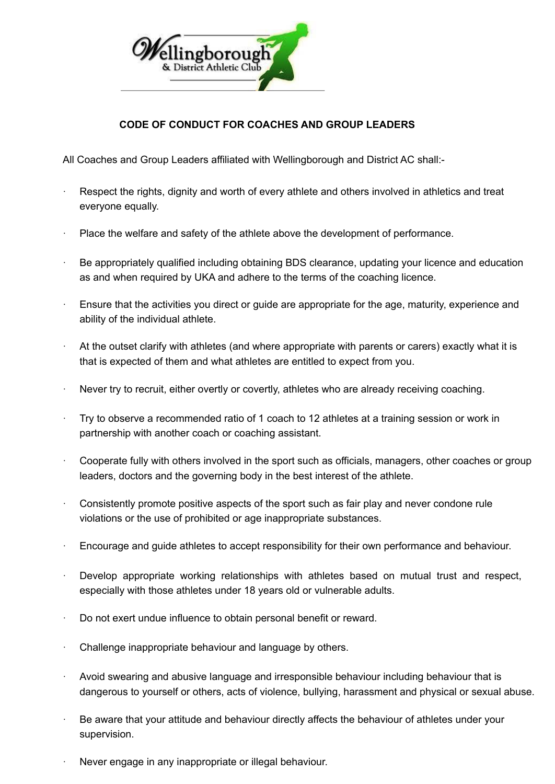

## **CODE OF CONDUCT FOR COACHES AND GROUP LEADERS**

All Coaches and Group Leaders affiliated with Wellingborough and District AC shall:-

- Respect the rights, dignity and worth of every athlete and others involved in athletics and treat everyone equally.
- Place the welfare and safety of the athlete above the development of performance.
- Be appropriately qualified including obtaining BDS clearance, updating your licence and education as and when required by UKA and adhere to the terms of the coaching licence.
- Ensure that the activities you direct or guide are appropriate for the age, maturity, experience and ability of the individual athlete.
- At the outset clarify with athletes (and where appropriate with parents or carers) exactly what it is that is expected of them and what athletes are entitled to expect from you.
- · Never try to recruit, either overtly or covertly, athletes who are already receiving coaching.
- · Try to observe a recommended ratio of 1 coach to 12 athletes at a training session or work in partnership with another coach or coaching assistant.
- Cooperate fully with others involved in the sport such as officials, managers, other coaches or group leaders, doctors and the governing body in the best interest of the athlete.
- Consistently promote positive aspects of the sport such as fair play and never condone rule violations or the use of prohibited or age inappropriate substances.
- · Encourage and guide athletes to accept responsibility for their own performance and behaviour.
- Develop appropriate working relationships with athletes based on mutual trust and respect, especially with those athletes under 18 years old or vulnerable adults.
- Do not exert undue influence to obtain personal benefit or reward.
- Challenge inappropriate behaviour and language by others.
- Avoid swearing and abusive language and irresponsible behaviour including behaviour that is dangerous to yourself or others, acts of violence, bullying, harassment and physical or sexual abuse.
- Be aware that your attitude and behaviour directly affects the behaviour of athletes under your supervision.
- Never engage in any inappropriate or illegal behaviour.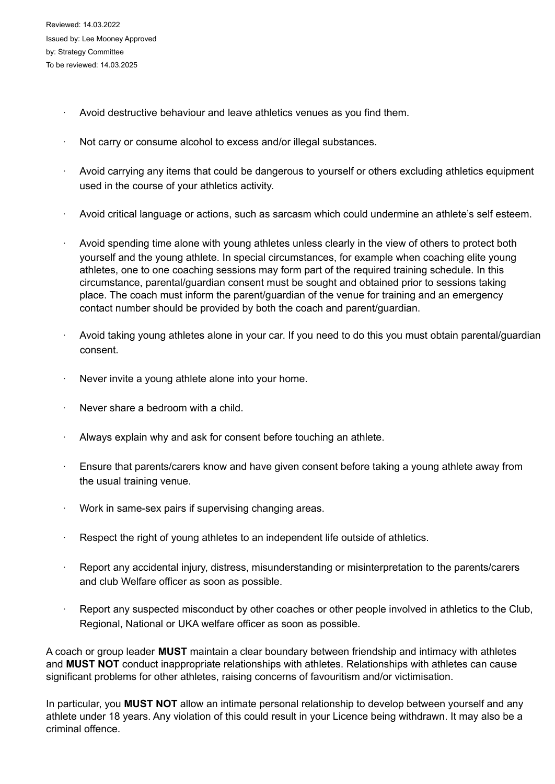- Avoid destructive behaviour and leave athletics venues as you find them.
- Not carry or consume alcohol to excess and/or illegal substances.
- Avoid carrying any items that could be dangerous to yourself or others excluding athletics equipment used in the course of your athletics activity.
- Avoid critical language or actions, such as sarcasm which could undermine an athlete's self esteem.
- Avoid spending time alone with young athletes unless clearly in the view of others to protect both yourself and the young athlete. In special circumstances, for example when coaching elite young athletes, one to one coaching sessions may form part of the required training schedule. In this circumstance, parental/guardian consent must be sought and obtained prior to sessions taking place. The coach must inform the parent/guardian of the venue for training and an emergency contact number should be provided by both the coach and parent/guardian.
- Avoid taking young athletes alone in your car. If you need to do this you must obtain parental/guardian consent.
- Never invite a young athlete alone into your home.
- Never share a bedroom with a child.
- Always explain why and ask for consent before touching an athlete.
- · Ensure that parents/carers know and have given consent before taking a young athlete away from the usual training venue.
- · Work in same-sex pairs if supervising changing areas.
- Respect the right of young athletes to an independent life outside of athletics.
- Report any accidental injury, distress, misunderstanding or misinterpretation to the parents/carers and club Welfare officer as soon as possible.
- Report any suspected misconduct by other coaches or other people involved in athletics to the Club, Regional, National or UKA welfare officer as soon as possible.

A coach or group leader **MUST** maintain a clear boundary between friendship and intimacy with athletes and **MUST NOT** conduct inappropriate relationships with athletes. Relationships with athletes can cause significant problems for other athletes, raising concerns of favouritism and/or victimisation.

In particular, you **MUST NOT** allow an intimate personal relationship to develop between yourself and any athlete under 18 years. Any violation of this could result in your Licence being withdrawn. It may also be a criminal offence.